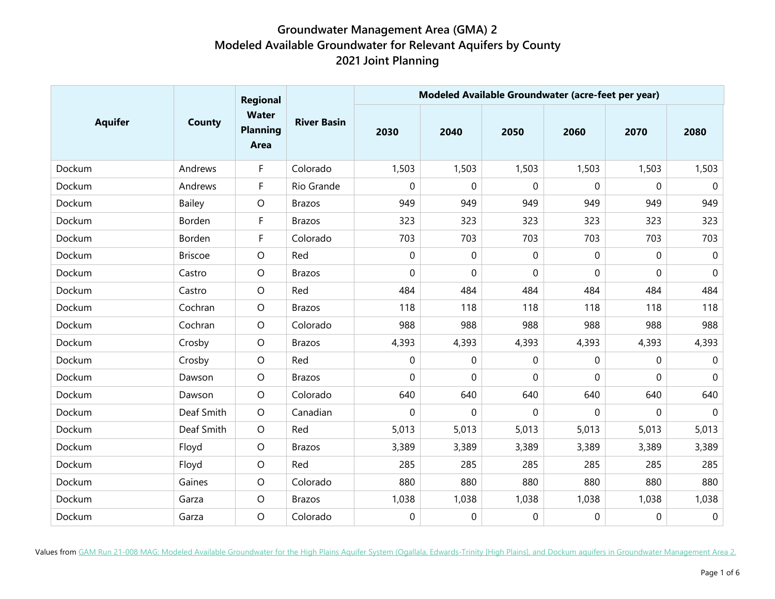|                | <b>County</b>  | <b>Regional</b><br><b>Water</b><br><b>Planning</b><br>Area | <b>River Basin</b> | Modeled Available Groundwater (acre-feet per year) |                |              |          |             |                  |  |
|----------------|----------------|------------------------------------------------------------|--------------------|----------------------------------------------------|----------------|--------------|----------|-------------|------------------|--|
| <b>Aquifer</b> |                |                                                            |                    | 2030                                               | 2040           | 2050         | 2060     | 2070        | 2080             |  |
| Dockum         | Andrews        | F                                                          | Colorado           | 1,503                                              | 1,503          | 1,503        | 1,503    | 1,503       | 1,503            |  |
| Dockum         | Andrews        | F                                                          | Rio Grande         | 0                                                  | 0              | $\mathbf{0}$ | $\Omega$ | 0           | $\mathbf 0$      |  |
| Dockum         | Bailey         | $\circ$                                                    | <b>Brazos</b>      | 949                                                | 949            | 949          | 949      | 949         | 949              |  |
| Dockum         | Borden         | F                                                          | <b>Brazos</b>      | 323                                                | 323            | 323          | 323      | 323         | 323              |  |
| Dockum         | Borden         | F                                                          | Colorado           | 703                                                | 703            | 703          | 703      | 703         | 703              |  |
| Dockum         | <b>Briscoe</b> | $\circ$                                                    | Red                | 0                                                  | 0              | 0            | 0        | 0           | $\pmb{0}$        |  |
| Dockum         | Castro         | $\circ$                                                    | <b>Brazos</b>      | 0                                                  | 0              | $\mathbf 0$  | 0        | $\mathbf 0$ | $\boldsymbol{0}$ |  |
| Dockum         | Castro         | $\circ$                                                    | Red                | 484                                                | 484            | 484          | 484      | 484         | 484              |  |
| Dockum         | Cochran        | $\circ$                                                    | <b>Brazos</b>      | 118                                                | 118            | 118          | 118      | 118         | 118              |  |
| Dockum         | Cochran        | $\circ$                                                    | Colorado           | 988                                                | 988            | 988          | 988      | 988         | 988              |  |
| Dockum         | Crosby         | $\circ$                                                    | <b>Brazos</b>      | 4,393                                              | 4,393          | 4,393        | 4,393    | 4,393       | 4,393            |  |
| Dockum         | Crosby         | $\circ$                                                    | Red                | 0                                                  | $\overline{0}$ | $\mathbf 0$  | 0        | $\mathbf 0$ | $\mathbf 0$      |  |
| Dockum         | Dawson         | $\circ$                                                    | <b>Brazos</b>      | 0                                                  | $\overline{0}$ | $\mathbf 0$  | 0        | 0           | $\pmb{0}$        |  |
| Dockum         | Dawson         | $\circ$                                                    | Colorado           | 640                                                | 640            | 640          | 640      | 640         | 640              |  |
| Dockum         | Deaf Smith     | $\circ$                                                    | Canadian           | 0                                                  | 0              | 0            | 0        | 0           | $\mathbf 0$      |  |
| Dockum         | Deaf Smith     | $\circ$                                                    | Red                | 5,013                                              | 5,013          | 5,013        | 5,013    | 5,013       | 5,013            |  |
| Dockum         | Floyd          | $\circ$                                                    | <b>Brazos</b>      | 3,389                                              | 3,389          | 3,389        | 3,389    | 3,389       | 3,389            |  |
| Dockum         | Floyd          | $\circ$                                                    | Red                | 285                                                | 285            | 285          | 285      | 285         | 285              |  |
| Dockum         | Gaines         | $\circ$                                                    | Colorado           | 880                                                | 880            | 880          | 880      | 880         | 880              |  |
| Dockum         | Garza          | $\circ$                                                    | <b>Brazos</b>      | 1,038                                              | 1,038          | 1,038        | 1,038    | 1,038       | 1,038            |  |
| Dockum         | Garza          | $\circ$                                                    | Colorado           | 0                                                  | 0              | $\mathbf 0$  | 0        | $\mathbf 0$ | $\boldsymbol{0}$ |  |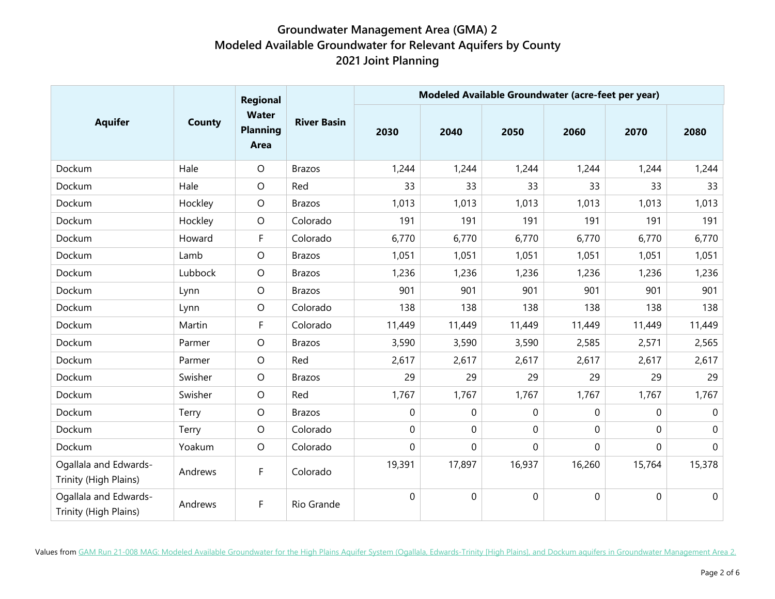|                                                | <b>County</b> | Regional<br><b>Water</b><br><b>Planning</b><br>Area | <b>River Basin</b> | Modeled Available Groundwater (acre-feet per year) |                |              |                |              |              |  |
|------------------------------------------------|---------------|-----------------------------------------------------|--------------------|----------------------------------------------------|----------------|--------------|----------------|--------------|--------------|--|
| <b>Aquifer</b>                                 |               |                                                     |                    | 2030                                               | 2040           | 2050         | 2060           | 2070         | 2080         |  |
| Dockum                                         | Hale          | $\circ$                                             | <b>Brazos</b>      | 1,244                                              | 1,244          | 1,244        | 1,244          | 1,244        | 1,244        |  |
| Dockum                                         | Hale          | $\circ$                                             | Red                | 33                                                 | 33             | 33           | 33             | 33           | 33           |  |
| Dockum                                         | Hockley       | $\circ$                                             | <b>Brazos</b>      | 1,013                                              | 1,013          | 1,013        | 1,013          | 1,013        | 1,013        |  |
| Dockum                                         | Hockley       | $\circ$                                             | Colorado           | 191                                                | 191            | 191          | 191            | 191          | 191          |  |
| Dockum                                         | Howard        | F                                                   | Colorado           | 6,770                                              | 6,770          | 6,770        | 6,770          | 6,770        | 6,770        |  |
| Dockum                                         | Lamb          | $\circ$                                             | <b>Brazos</b>      | 1,051                                              | 1,051          | 1,051        | 1,051          | 1,051        | 1,051        |  |
| Dockum                                         | Lubbock       | $\circ$                                             | <b>Brazos</b>      | 1,236                                              | 1,236          | 1,236        | 1,236          | 1,236        | 1,236        |  |
| Dockum                                         | Lynn          | $\circ$                                             | <b>Brazos</b>      | 901                                                | 901            | 901          | 901            | 901          | 901          |  |
| Dockum                                         | Lynn          | $\circ$                                             | Colorado           | 138                                                | 138            | 138          | 138            | 138          | 138          |  |
| Dockum                                         | Martin        | F                                                   | Colorado           | 11,449                                             | 11,449         | 11,449       | 11,449         | 11,449       | 11,449       |  |
| Dockum                                         | Parmer        | $\circ$                                             | <b>Brazos</b>      | 3,590                                              | 3,590          | 3,590        | 2,585          | 2,571        | 2,565        |  |
| Dockum                                         | Parmer        | $\circ$                                             | Red                | 2,617                                              | 2,617          | 2,617        | 2,617          | 2,617        | 2,617        |  |
| Dockum                                         | Swisher       | $\circ$                                             | <b>Brazos</b>      | 29                                                 | 29             | 29           | 29             | 29           | 29           |  |
| Dockum                                         | Swisher       | $\circ$                                             | Red                | 1,767                                              | 1,767          | 1,767        | 1,767          | 1,767        | 1,767        |  |
| Dockum                                         | Terry         | $\circ$                                             | <b>Brazos</b>      | 0                                                  | 0              | $\mathbf{0}$ | 0              | 0            | $\mathbf{0}$ |  |
| Dockum                                         | Terry         | $\circ$                                             | Colorado           | 0                                                  | $\overline{0}$ | $\Omega$     | $\overline{0}$ | $\mathbf 0$  | $\mathbf 0$  |  |
| Dockum                                         | Yoakum        | $\circ$                                             | Colorado           | 0                                                  | 0              | $\mathbf 0$  | 0              | $\mathbf{0}$ | $\mathbf 0$  |  |
| Ogallala and Edwards-<br>Trinity (High Plains) | Andrews       | F                                                   | Colorado           | 19,391                                             | 17,897         | 16,937       | 16,260         | 15,764       | 15,378       |  |
| Ogallala and Edwards-<br>Trinity (High Plains) | Andrews       | F                                                   | Rio Grande         | 0                                                  | 0              | $\mathbf 0$  | $\mathbf 0$    | $\mathbf 0$  | $\mathbf 0$  |  |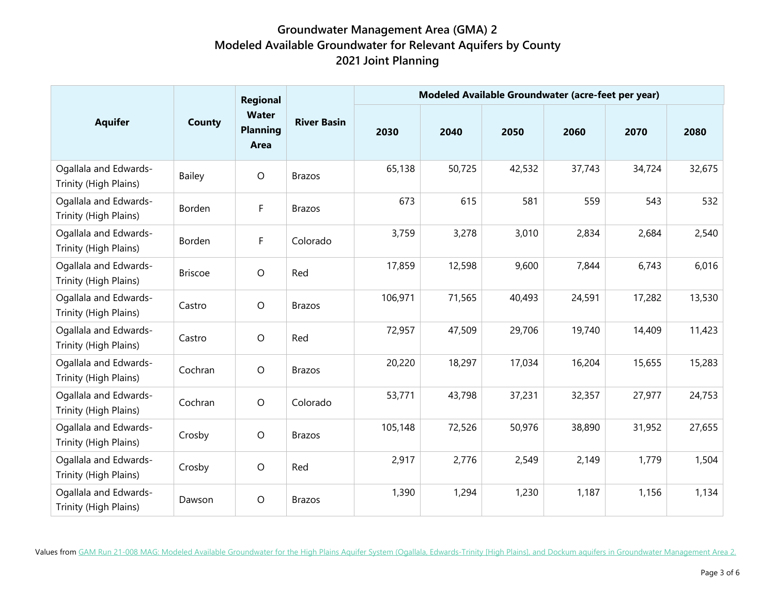|                                                | <b>County</b>  | Regional<br><b>Water</b><br><b>Planning</b><br>Area | <b>River Basin</b> | Modeled Available Groundwater (acre-feet per year) |        |        |        |        |        |
|------------------------------------------------|----------------|-----------------------------------------------------|--------------------|----------------------------------------------------|--------|--------|--------|--------|--------|
| <b>Aquifer</b>                                 |                |                                                     |                    | 2030                                               | 2040   | 2050   | 2060   | 2070   | 2080   |
| Ogallala and Edwards-<br>Trinity (High Plains) | Bailey         | $\circ$                                             | <b>Brazos</b>      | 65,138                                             | 50,725 | 42,532 | 37,743 | 34,724 | 32,675 |
| Ogallala and Edwards-<br>Trinity (High Plains) | Borden         | F                                                   | <b>Brazos</b>      | 673                                                | 615    | 581    | 559    | 543    | 532    |
| Ogallala and Edwards-<br>Trinity (High Plains) | Borden         | F                                                   | Colorado           | 3,759                                              | 3,278  | 3,010  | 2,834  | 2,684  | 2,540  |
| Ogallala and Edwards-<br>Trinity (High Plains) | <b>Briscoe</b> | $\circ$                                             | Red                | 17,859                                             | 12,598 | 9,600  | 7,844  | 6,743  | 6,016  |
| Ogallala and Edwards-<br>Trinity (High Plains) | Castro         | $\circ$                                             | <b>Brazos</b>      | 106,971                                            | 71,565 | 40,493 | 24,591 | 17,282 | 13,530 |
| Ogallala and Edwards-<br>Trinity (High Plains) | Castro         | $\circ$                                             | Red                | 72,957                                             | 47,509 | 29,706 | 19,740 | 14,409 | 11,423 |
| Ogallala and Edwards-<br>Trinity (High Plains) | Cochran        | $\circ$                                             | <b>Brazos</b>      | 20,220                                             | 18,297 | 17,034 | 16,204 | 15,655 | 15,283 |
| Ogallala and Edwards-<br>Trinity (High Plains) | Cochran        | $\circ$                                             | Colorado           | 53,771                                             | 43,798 | 37,231 | 32,357 | 27,977 | 24,753 |
| Ogallala and Edwards-<br>Trinity (High Plains) | Crosby         | $\circ$                                             | <b>Brazos</b>      | 105,148                                            | 72,526 | 50,976 | 38,890 | 31,952 | 27,655 |
| Ogallala and Edwards-<br>Trinity (High Plains) | Crosby         | $\circ$                                             | Red                | 2,917                                              | 2,776  | 2,549  | 2,149  | 1,779  | 1,504  |
| Ogallala and Edwards-<br>Trinity (High Plains) | Dawson         | $\circ$                                             | <b>Brazos</b>      | 1,390                                              | 1,294  | 1,230  | 1,187  | 1,156  | 1,134  |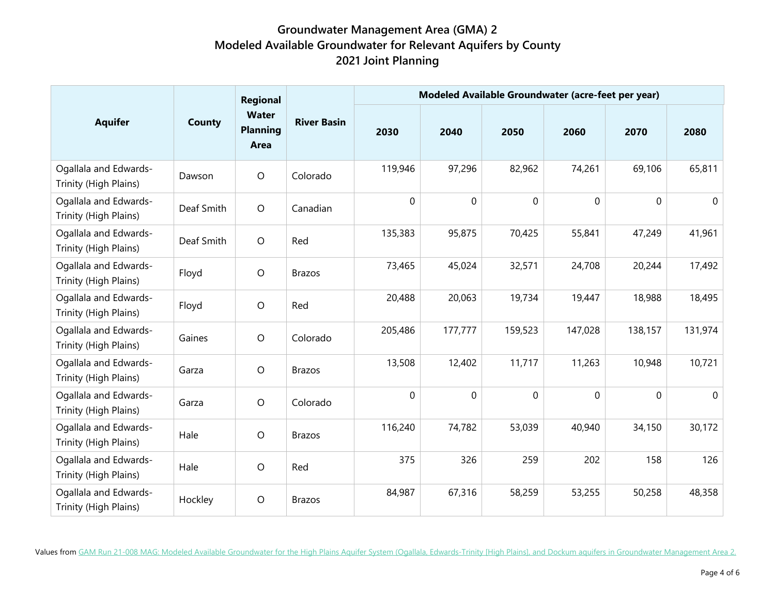|                                                | <b>County</b> | Regional<br><b>Water</b><br><b>Planning</b><br>Area | <b>River Basin</b> | Modeled Available Groundwater (acre-feet per year) |             |             |             |             |              |
|------------------------------------------------|---------------|-----------------------------------------------------|--------------------|----------------------------------------------------|-------------|-------------|-------------|-------------|--------------|
| <b>Aquifer</b>                                 |               |                                                     |                    | 2030                                               | 2040        | 2050        | 2060        | 2070        | 2080         |
| Ogallala and Edwards-<br>Trinity (High Plains) | Dawson        | $\circ$                                             | Colorado           | 119,946                                            | 97,296      | 82,962      | 74,261      | 69,106      | 65,811       |
| Ogallala and Edwards-<br>Trinity (High Plains) | Deaf Smith    | $\circ$                                             | Canadian           | 0                                                  | $\mathbf 0$ | $\mathbf 0$ | $\mathbf 0$ | $\mathbf 0$ | $\mathbf{0}$ |
| Ogallala and Edwards-<br>Trinity (High Plains) | Deaf Smith    | $\circ$                                             | Red                | 135,383                                            | 95,875      | 70,425      | 55,841      | 47,249      | 41,961       |
| Ogallala and Edwards-<br>Trinity (High Plains) | Floyd         | $\circ$                                             | <b>Brazos</b>      | 73,465                                             | 45,024      | 32,571      | 24,708      | 20,244      | 17,492       |
| Ogallala and Edwards-<br>Trinity (High Plains) | Floyd         | $\circ$                                             | Red                | 20,488                                             | 20,063      | 19,734      | 19,447      | 18,988      | 18,495       |
| Ogallala and Edwards-<br>Trinity (High Plains) | Gaines        | $\circ$                                             | Colorado           | 205,486                                            | 177,777     | 159,523     | 147,028     | 138,157     | 131,974      |
| Ogallala and Edwards-<br>Trinity (High Plains) | Garza         | $\circ$                                             | <b>Brazos</b>      | 13,508                                             | 12,402      | 11,717      | 11,263      | 10,948      | 10,721       |
| Ogallala and Edwards-<br>Trinity (High Plains) | Garza         | $\circ$                                             | Colorado           | 0                                                  | $\mathbf 0$ | $\mathbf 0$ | $\mathbf 0$ | $\mathbf 0$ | $\mathbf 0$  |
| Ogallala and Edwards-<br>Trinity (High Plains) | Hale          | $\circ$                                             | <b>Brazos</b>      | 116,240                                            | 74,782      | 53,039      | 40,940      | 34,150      | 30,172       |
| Ogallala and Edwards-<br>Trinity (High Plains) | Hale          | $\circ$                                             | Red                | 375                                                | 326         | 259         | 202         | 158         | 126          |
| Ogallala and Edwards-<br>Trinity (High Plains) | Hockley       | $\circ$                                             | <b>Brazos</b>      | 84,987                                             | 67,316      | 58,259      | 53,255      | 50,258      | 48,358       |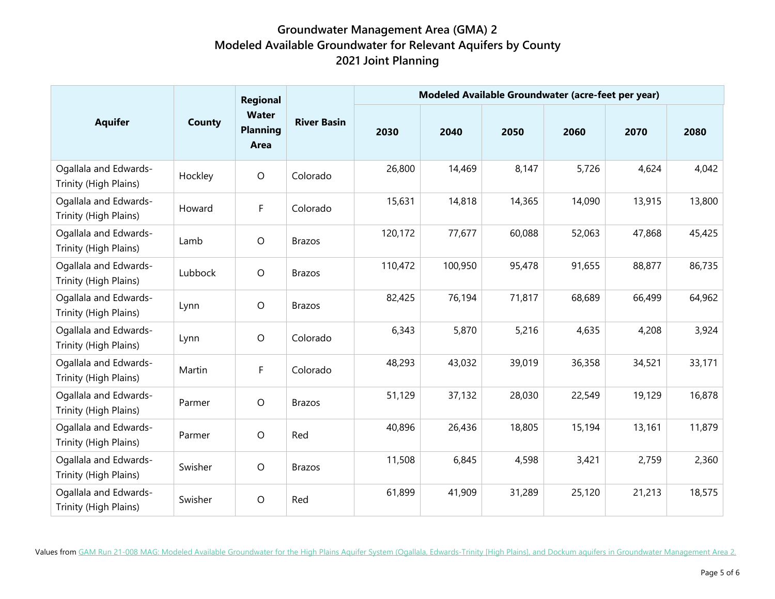|                                                | County  | Regional<br><b>Water</b><br><b>Planning</b><br>Area | <b>River Basin</b> | Modeled Available Groundwater (acre-feet per year) |         |        |        |        |        |
|------------------------------------------------|---------|-----------------------------------------------------|--------------------|----------------------------------------------------|---------|--------|--------|--------|--------|
| <b>Aquifer</b>                                 |         |                                                     |                    | 2030                                               | 2040    | 2050   | 2060   | 2070   | 2080   |
| Ogallala and Edwards-<br>Trinity (High Plains) | Hockley | $\circ$                                             | Colorado           | 26,800                                             | 14,469  | 8,147  | 5,726  | 4,624  | 4,042  |
| Ogallala and Edwards-<br>Trinity (High Plains) | Howard  | F                                                   | Colorado           | 15,631                                             | 14,818  | 14,365 | 14,090 | 13,915 | 13,800 |
| Ogallala and Edwards-<br>Trinity (High Plains) | Lamb    | $\circ$                                             | <b>Brazos</b>      | 120,172                                            | 77,677  | 60,088 | 52,063 | 47,868 | 45,425 |
| Ogallala and Edwards-<br>Trinity (High Plains) | Lubbock | $\circ$                                             | <b>Brazos</b>      | 110,472                                            | 100,950 | 95,478 | 91,655 | 88,877 | 86,735 |
| Ogallala and Edwards-<br>Trinity (High Plains) | Lynn    | $\circ$                                             | <b>Brazos</b>      | 82,425                                             | 76,194  | 71,817 | 68,689 | 66,499 | 64,962 |
| Ogallala and Edwards-<br>Trinity (High Plains) | Lynn    | $\bigcirc$                                          | Colorado           | 6,343                                              | 5,870   | 5,216  | 4,635  | 4,208  | 3,924  |
| Ogallala and Edwards-<br>Trinity (High Plains) | Martin  | F                                                   | Colorado           | 48,293                                             | 43,032  | 39,019 | 36,358 | 34,521 | 33,171 |
| Ogallala and Edwards-<br>Trinity (High Plains) | Parmer  | $\circ$                                             | <b>Brazos</b>      | 51,129                                             | 37,132  | 28,030 | 22,549 | 19,129 | 16,878 |
| Ogallala and Edwards-<br>Trinity (High Plains) | Parmer  | $\circ$                                             | Red                | 40,896                                             | 26,436  | 18,805 | 15,194 | 13,161 | 11,879 |
| Ogallala and Edwards-<br>Trinity (High Plains) | Swisher | $\bigcirc$                                          | <b>Brazos</b>      | 11,508                                             | 6,845   | 4,598  | 3,421  | 2,759  | 2,360  |
| Ogallala and Edwards-<br>Trinity (High Plains) | Swisher | $\circ$                                             | Red                | 61,899                                             | 41,909  | 31,289 | 25,120 | 21,213 | 18,575 |